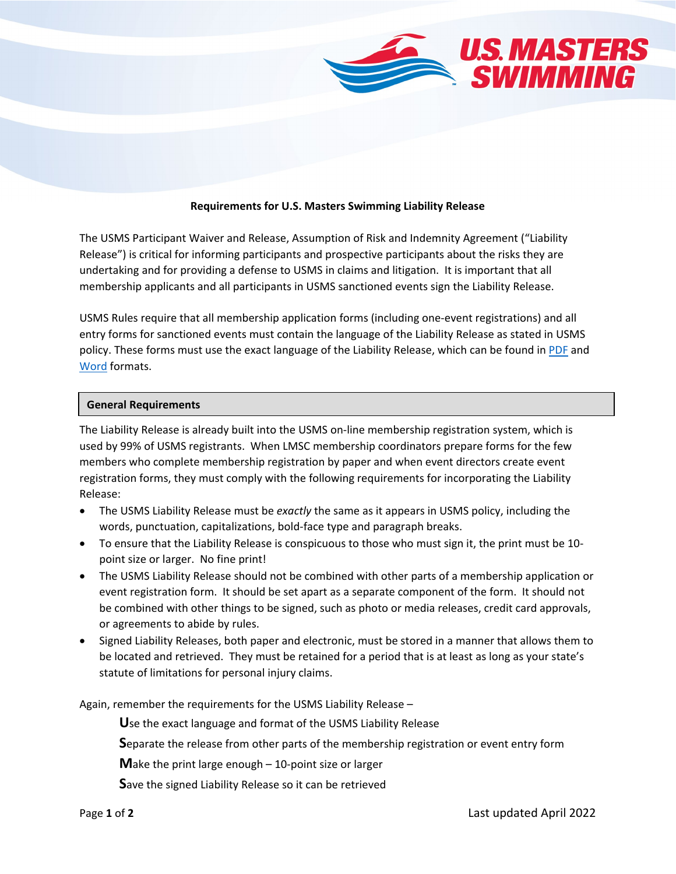

## **Requirements for U.S. Masters Swimming Liability Release**

The USMS Participant Waiver and Release, Assumption of Risk and Indemnity Agreement ("Liability Release") is critical for informing participants and prospective participants about the risks they are undertaking and for providing a defense to USMS in claims and litigation. It is important that all membership applicants and all participants in USMS sanctioned events sign the Liability Release.

USMS Rules require that all membership application forms (including one-event registrations) and all entry forms for sanctioned events must contain the language of the Liability Release as stated in USMS policy. These forms must use the exact language of the Liability Release, which can be found in [PDF](https://usms-cdn.azureedge.net/-/media/usms/pdfs/guide%20to%20operations%20-%20gto/insurance/usms_waiver_fillable_pdf.pdf?rev=8d9f10914f6d4374b7cf9fa586330002&hash=3FE22BC3A89C972735BEDCF5F5C06FBC) and [Word](https://usms-cdn.azureedge.net/-/media/usms/pdfs/guide%20to%20operations%20-%20gto/insurance/usms_waiver_doc.docx?rev=a9abf96aed9245079a67c304ea26bb06&hash=C370E904246C7FE1B37D23BB818ADB9D) formats.

## **General Requirements**

The Liability Release is already built into the USMS on-line membership registration system, which is used by 99% of USMS registrants. When LMSC membership coordinators prepare forms for the few members who complete membership registration by paper and when event directors create event registration forms, they must comply with the following requirements for incorporating the Liability Release:

- The USMS Liability Release must be *exactly* the same as it appears in USMS policy, including the words, punctuation, capitalizations, bold-face type and paragraph breaks.
- To ensure that the Liability Release is conspicuous to those who must sign it, the print must be 10 point size or larger. No fine print!
- The USMS Liability Release should not be combined with other parts of a membership application or event registration form. It should be set apart as a separate component of the form. It should not be combined with other things to be signed, such as photo or media releases, credit card approvals, or agreements to abide by rules.
- Signed Liability Releases, both paper and electronic, must be stored in a manner that allows them to be located and retrieved. They must be retained for a period that is at least as long as your state's statute of limitations for personal injury claims.

Again, remember the requirements for the USMS Liability Release –

**U**se the exact language and format of the USMS Liability Release

**S**eparate the release from other parts of the membership registration or event entry form

**M**ake the print large enough – 10-point size or larger

**S**ave the signed Liability Release so it can be retrieved